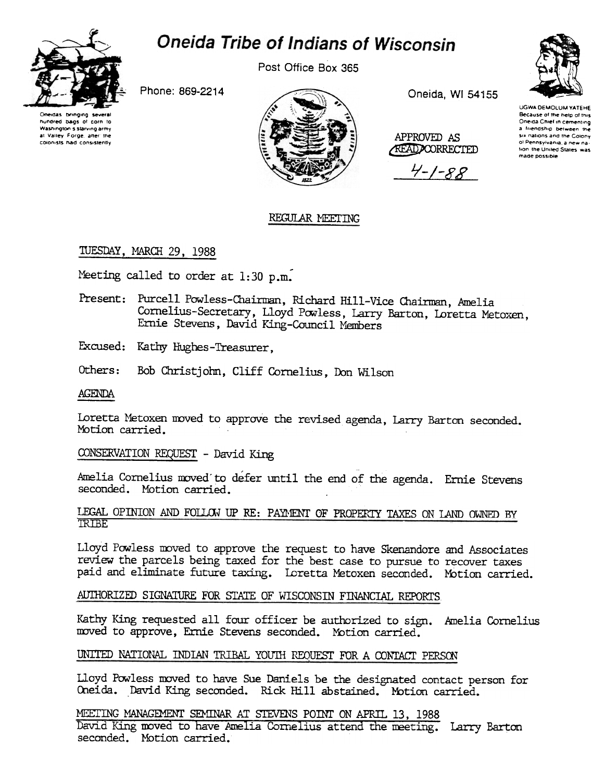

# Oneida Tribe of Indians of Wisconsin

Post Office Box 365

Phone: 869-2214



Oneida, WI 54155

APPROVED AS

**AEAD CORRECTED** 

 $4 - 1 - 88$ 



**UGWA DEMOLUM YATEHE** Because of the help of this Oneida Chief in cementing a friendship between the six nations and the Colony of Pennsylvania, a new nation the United States was made possible

## REGULAR MEETING

## TUESDAY, MARCH 29, 1988

Meeting called to order at 1:30 p.m.

- Present: Purcell Powless-Chairman, Richard Hill-Vice Chairman, Amelia Cornelius-Secretary, Lloyd Powless, Larry Barton, Loretta Metoxen, Ernie Stevens, David King-Council Members
- Excused: Kathy Hughes-Treasurer.
- Others: Bob Christjohn, Cliff Cornelius, Don Wilson
- **AGENDA**

Loretta Metoxen moved to approve the revised agenda, Larry Barton seconded. Motion carried.

CONSERVATION REQUEST - David King

Amelia Cornelius moved to defer until the end of the agenda. Ernie Stevens seconded. Motion carried.

### LEGAL OPINION AND FOLLOW UP RE: PAYMENT OF PROPERTY TAXES ON LAND OWNED BY **TRIBE**

Lloyd Powless moved to approve the request to have Skenandore and Associates review the parcels being taxed for the best case to pursue to recover taxes paid and eliminate future taxing. Loretta Metoxen seconded. Motion carried.

## AUTHORIZED SIGNATURE FOR STATE OF WISCONSIN FINANCIAL REPORTS

Kathy King requested all four officer be authorized to sign. Amelia Cornelius moved to approve, Ernie Stevens seconded. Notion carried.

## UNITED NATIONAL INDIAN TRIBAL YOUTH REQUEST FOR A CONTACT PERSON

Lloyd Powless moved to have Sue Daniels be the designated contact person for Oneida. David King seconded. Rick Hill abstained. Motion carried.

MEETING MANAGEMENT SEMINAR AT STEVENS POINT ON APRIL 13, 1988 David King moved to have Amelia Cornelius attend the meeting. Larry Barton seconded. Motion carried.